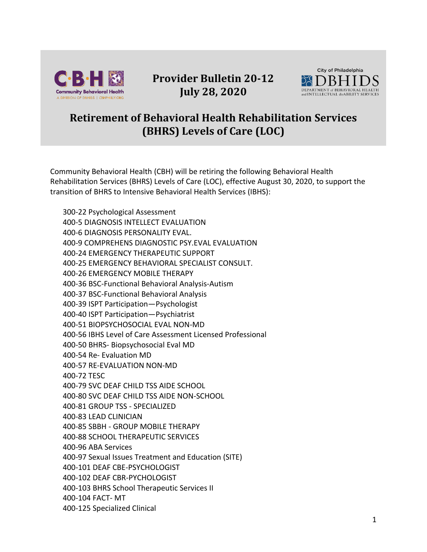

## **Provider Bulletin 20-12 July 28, 2020**



## **Retirement of Behavioral Health Rehabilitation Services (BHRS) Levels of Care (LOC)**

Community Behavioral Health (CBH) will be retiring the following Behavioral Health Rehabilitation Services (BHRS) Levels of Care (LOC), effective August 30, 2020, to support the transition of BHRS to Intensive Behavioral Health Services (IBHS):

300-22 Psychological Assessment 400-5 DIAGNOSIS INTELLECT EVALUATION 400-6 DIAGNOSIS PERSONALITY EVAL. 400-9 COMPREHENS DIAGNOSTIC PSY.EVAL EVALUATION 400-24 EMERGENCY THERAPEUTIC SUPPORT 400-25 EMERGENCY BEHAVIORAL SPECIALIST CONSULT. 400-26 EMERGENCY MOBILE THERAPY 400-36 BSC-Functional Behavioral Analysis-Autism 400-37 BSC-Functional Behavioral Analysis 400-39 ISPT Participation—Psychologist 400-40 ISPT Participation—Psychiatrist 400-51 BIOPSYCHOSOCIAL EVAL NON-MD 400-56 IBHS Level of Care Assessment Licensed Professional 400-50 BHRS- Biopsychosocial Eval MD 400-54 Re- Evaluation MD 400-57 RE-EVALUATION NON-MD 400-72 TESC 400-79 SVC DEAF CHILD TSS AIDE SCHOOL 400-80 SVC DEAF CHILD TSS AIDE NON-SCHOOL 400-81 GROUP TSS - SPECIALIZED 400-83 LEAD CLINICIAN 400-85 SBBH - GROUP MOBILE THERAPY 400-88 SCHOOL THERAPEUTIC SERVICES 400-96 ABA Services 400-97 Sexual Issues Treatment and Education (SITE) 400-101 DEAF CBE-PSYCHOLOGIST 400-102 DEAF CBR-PYCHOLOGIST 400-103 BHRS School Therapeutic Services II 400-104 FACT- MT 400-125 Specialized Clinical